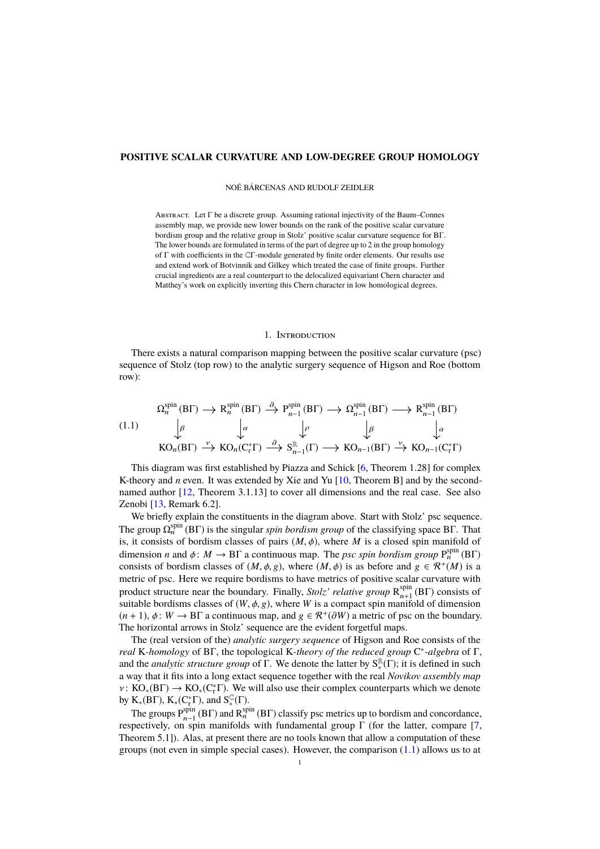# **POSITIVE SCALAR CURVATURE AND LOW-DEGREE GROUP HOMOLOGY**

NOÉ BÁRCENAS AND RUDOLF ZEIDLER

Abstract. Let Γ be a discrete group. Assuming rational injectivity of the Baum–Connes assembly map, we provide new lower bounds on the rank of the positive scalar curvature bordism group and the relative group in Stolz' positive scalar curvature sequence for BΓ. The lower bounds are formulated in terms of the part of degree up to 2 in the group homology of Γ with coefficients in the CΓ-module generated by finite order elements. Our results use and extend work of Botvinnik and Gilkey which treated the case of finite groups. Further crucial ingredients are a real counterpart to the delocalized equivariant Chern character and Matthey's work on explicitly inverting this Chern character in low homological degrees.

### 1. Introduction

There exists a natural comparison mapping between the positive scalar curvature (psc) sequence of Stolz (top row) to the analytic surgery sequence of Higson and Roe (bottom row):

<span id="page-0-0"></span>(1.1)  
\n
$$
\begin{array}{ccc}\n\Omega_n^{\text{spin}}(B\Gamma) \to R_n^{\text{spin}}(B\Gamma) \xrightarrow{\partial} P_{n-1}^{\text{spin}}(B\Gamma) \to \Omega_{n-1}^{\text{spin}}(B\Gamma) \longrightarrow R_{n-1}^{\text{spin}}(B\Gamma) \\
\downarrow^{\beta} & \downarrow^{\alpha} & \downarrow^{\beta} & \downarrow^{\alpha} \\
\text{KO}_n(B\Gamma) \xrightarrow{\nu} \text{KO}_n(C_r^*\Gamma) \xrightarrow{\partial} S_{n-1}^{\mathbb{R}}(\Gamma) \to \text{KO}_{n-1}(B\Gamma) \xrightarrow{\nu} \text{KO}_{n-1}(C_r^*\Gamma)\n\end{array}
$$

This diagram was first established by Piazza and Schick [\[6,](#page-9-0) Theorem 1.28] for complex K-theory and *n* even. It was extended by Xie and Yu [\[10,](#page-9-1) Theorem B] and by the secondnamed author [\[12,](#page-9-2) Theorem 3.1.13] to cover all dimensions and the real case. See also Zenobi [\[13,](#page-9-3) Remark 6.2].

We briefly explain the constituents in the diagram above. Start with Stolz' psc sequence. The group  $\Omega_n^{\text{spin}}(B\Gamma)$  is the singular *spin bordism group* of the classifying space BΓ. That is, it consists of bordism classes of pairs  $(M, \phi)$ , where *M* is a closed spin manifold of dimension *n* and  $\phi: M \to \text{BT}$  a continuous map. The *psc spin bordism group*  $P_n^{\text{spin}}(BF)$ <br>consists of bordism classes of  $(M \phi, \phi)$  where  $(M \phi)$  is as before and  $g \in \mathcal{R}^+(M)$  is a consists of bordism classes of  $(M, \phi, g)$ , where  $(M, \phi)$  is as before and  $g \in \mathbb{R}^+(M)$  is a metric of positive scalar curvature with metric of psc. Here we require bordisms to have metrics of positive scalar curvature with product structure near the boundary. Finally, *Stolz' relative group*  $R_{n+1}^{spin}$  $_{n+1}^{\text{spin}}$  (BF) consists of suitable bordisms classes of  $(W, \phi, g)$ , where *W* is a compact spin manifold of dimension  $(n + 1)$ ,  $\phi: W \to \text{BT}$  a continuous map, and  $g \in \mathcal{R}^+(\partial W)$  a metric of psc on the boundary.<br>The borizontal arrows in Stolz' sequence are the evident forgetful maps The horizontal arrows in Stolz' sequence are the evident forgetful maps.

The (real version of the) *analytic surgery sequence* of Higson and Roe consists of the *real* K*-homology* of BΓ, the topological K*-theory of the reduced group* C ∗ *-algebra* of Γ, and the *analytic structure group* of  $\Gamma$ . We denote the latter by  $S^{\mathbb{R}}_{*}(\Gamma)$ ; it is defined in such a way that it fits into a long extact sequence together with the real *Novikov assembly map*  $v: KO_*(BT) \to KO_*(C^*_T)$ . We will also use their complex counterparts which we denote by K ( $R \to K$  ( $C^* \to \text{and } S^{\mathbb{C}}(\Gamma)$ ) by  $K_*(B\Gamma)$ ,  $K_*(C^*_r\Gamma)$ , and  $S^{\mathbb{C}}_*(\Gamma)$ .

The groups  $P_{n-1}^{\text{spin}}$ <sup>spin</sup> (BΓ) and R<sup>spin</sup> (BΓ) classify psc metrics up to bordism and concordance, respectively, on spin manifolds with fundamental group  $\Gamma$  (for the latter, compare [\[7,](#page-9-4) Theorem 5.1]). Alas, at present there are no tools known that allow a computation of these groups (not even in simple special cases). However, the comparison  $(1.1)$  allows us to at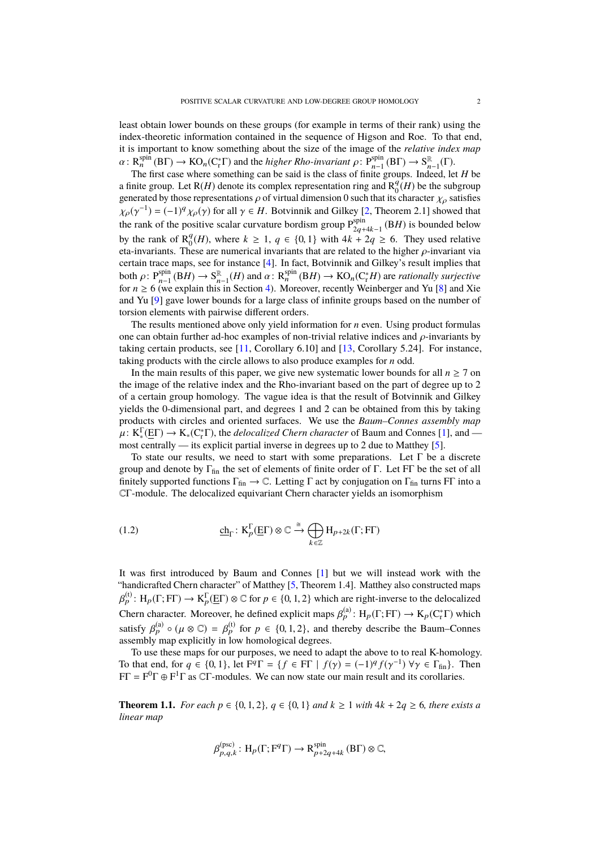least obtain lower bounds on these groups (for example in terms of their rank) using the index-theoretic information contained in the sequence of Higson and Roe. To that end, it is important to know something about the size of the image of the *relative index map*  $\alpha: R_n^{\text{spin}}(B\Gamma) \to \text{KO}_n(\text{C}_r^*\Gamma)$  and the *higher Rho-invariant*  $\rho: P_{n-1}^{\text{spin}}(B\Gamma) \to S_n^{\mathbb{R}}$ <br>The first case where something can be said is the class of finite groups. Inde  $_{n-1}^{\mathbb{R}}(\Gamma).$ 

The first case where something can be said is the class of finite groups. Indeed, let *H* be a finite group. Let  $R(H)$  denote its complex representation ring and  $R_0^q$  $\binom{q}{0}$  (*H*) be the subgroup generated by those representations  $\rho$  of virtual dimension 0 such that its character  $\chi_{\rho}$  satisfies  $\chi_{\rho}(\gamma^{-1}) = (-1)^q \chi_{\rho}(\gamma)$  for all  $\gamma \in H$ . Botvinnik and Gilkey [\[2,](#page-9-5) Theorem 2.1] showed that the goals of the positive scalar quantum bordian group  $\mathbf{P}^{\text{spin}}$  (*BH*) is hounded below the rank of the positive scalar curvature bordism group  $P_{2a}^{spin}$  $\sum_{2q+4k-1}^{spin}$  (BH) is bounded below by the rank of  $R_0^q$  $\frac{q}{0}$ (*H*), where *k* ≥ 1, *q* ∈ {0, 1} with 4*k* + 2*q* ≥ 6. They used relative nese are numerical invariants that are related to the higher *o*-invariant via eta-invariants. These are numerical invariants that are related to the higher  $\rho$ -invariant via certain trace maps, see for instance [\[4\]](#page-9-6). In fact, Botvinnik and Gilkey's result implies that both  $\rho: P_{n-1}^{\text{spin}}$ <br>for  $n > 6$  (we  $S_{n-1}^{\text{spin}}$  (B*H*) →  $S_n^{\mathbb{R}}$  $\sum_{n=1}^{\infty}$  (*H*) and  $\alpha$ :  $R_n^{\text{spin}}$  (*BH*)  $\rightarrow$  KO<sub>n</sub>(C<sub>i</sub><sup>\*</sup>*H*) are *rationally surjective* in Section 4). Moreover, recently Weinberger and Yu [81 and Xie for  $n \ge 6$  (we explain this in Section [4\)](#page-6-0). Moreover, recently Weinberger and Yu [\[8\]](#page-9-7) and Xie and Yu [\[9\]](#page-9-8) gave lower bounds for a large class of infinite groups based on the number of torsion elements with pairwise different orders.

The results mentioned above only yield information for *n* even. Using product formulas one can obtain further ad-hoc examples of non-trivial relative indices and  $\rho$ -invariants by taking certain products, see [\[11,](#page-9-9) Corollary 6.10] and [\[13,](#page-9-3) Corollary 5.24]. For instance, taking products with the circle allows to also produce examples for *n* odd.

In the main results of this paper, we give new systematic lower bounds for all  $n \ge 7$  on the image of the relative index and the Rho-invariant based on the part of degree up to 2 of a certain group homology. The vague idea is that the result of Botvinnik and Gilkey yields the 0-dimensional part, and degrees 1 and 2 can be obtained from this by taking products with circles and oriented surfaces. We use the *Baum–Connes assembly map*  $\mu: K_*^{\Gamma}(\underline{E}\Gamma) \to K_*(C^*_r\Gamma)$ , the *delocalized Chern character* of Baum and Connes [\[1\]](#page-9-10), and —<br>most centrally — its explicit partial inverse in degrees up to 2 due to Matthey [5] most centrally — its explicit partial inverse in degrees up to 2 due to Matthey [\[5\]](#page-9-11).

To state our results, we need to start with some preparations. Let  $\Gamma$  be a discrete group and denote by  $\Gamma_{fin}$  the set of elements of finite order of Γ. Let FΓ be the set of all finitely supported functions  $\Gamma_{fin} \to \mathbb{C}$ . Letting  $\Gamma$  act by conjugation on  $\Gamma_{fin}$  turns F $\Gamma$  into a CΓ-module. The delocalized equivariant Chern character yields an isomorphism

(1.2) 
$$
\underline{\text{ch}}_{\Gamma} \colon \text{K}_{p}^{\Gamma}(\underline{\text{E}}\Gamma) \otimes \mathbb{C} \xrightarrow{\cong} \bigoplus_{k \in \mathbb{Z}} \text{H}_{p+2k}(\Gamma; \text{FT})
$$

It was first introduced by Baum and Connes [\[1\]](#page-9-10) but we will instead work with the "handicrafted Chern character" of Matthey [\[5,](#page-9-11) Theorem 1.4]. Matthey also constructed maps Chern character. Moreover, he defined explicit maps  $\beta_p^{(a)}$ : H<sub>p</sub>(Γ; FΓ)  $\rightarrow$  K<sub>p</sub>(C<sub>r</sub>Γ) which (t) :  $H_p(\Gamma; F\Gamma) \to K_p^{\Gamma}(\underline{E}\Gamma) \otimes \mathbb{C}$  for  $p \in \{0, 1, 2\}$  which are right-inverse to the delocalized satisfy  $\beta_p^{(a)} \circ (\mu \otimes \mathbb{C}) = \beta_p^{(t)}$  for  $p \in \{0, 1, 2\}$ , and thereby describe the Baum–Conness assembly map explicitly in low homological degrees.

To use these maps for our purposes, we need to adapt the above to to real K-homology. To that end, for  $q \in \{0, 1\}$ , let  $F^q \Gamma = \{ f \in FT \mid f(\gamma) = (-1)^q f(\gamma^{-1}) \,\forall \gamma \in \Gamma_{fin} \}$ . Then<br>FF =  $F^0 \Gamma \oplus F^1 \Gamma$  as CF-modules. We can now state our main result and its corollaries  $FT = F^0 \Gamma \oplus F^1 \Gamma$  as C $\Gamma$ -modules. We can now state our main result and its corollaries.

<span id="page-1-0"></span>**Theorem 1.1.** *For each*  $p \in \{0, 1, 2\}$ ,  $q \in \{0, 1\}$  *and*  $k ≥ 1$  *with*  $4k + 2q ≥ 6$ *, there exists a linear map*

$$
\beta_{p,q,k}^{\text{(psc)}} : H_p(\Gamma; \mathbf{F}^q \Gamma) \to \mathbf{R}_{p+2q+4k}^{\text{spin}} \text{ (B}\Gamma) \otimes \mathbb{C},
$$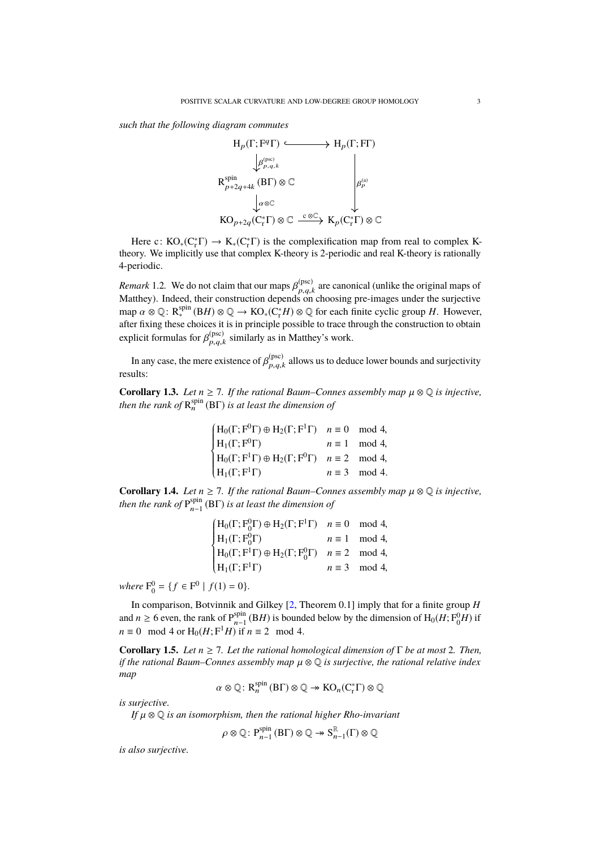*such that the following diagram commutes*



Here c:  $KO_*(C^*_r\Gamma) \to K_*(C^*_r\Gamma)$  is the complexification map from real to complex Ktheory. We implicitly use that complex K-theory is 2-periodic and real K-theory is rationally 4-periodic.

*Remark* 1.2. We do not claim that our maps  $\beta_{p,q}^{(\text{psc})}$ <br>Matthey) Indeed, their construction depends on  $p_{p,q,k}^{(psc)}$  are canonical (unlike the original maps of  $p,q,k$  choosing pre-images under the surjective Matthey). Indeed, their construction depends on choosing pre-images under the surjective map  $\alpha \otimes \mathbb{Q}$ :  $R_*^{spin} (BH) \otimes \mathbb{Q} \to KO_*(C^*_r H) \otimes \mathbb{Q}$  for each finite cyclic group *H*. However, after fixing these choices it is in principle possible to trace through the construction to obtain explicit formulas for  $\beta_{p,q,i}^{(\text{psc})}$  $_{p,q,k}^{(\text{psc})}$  similarly as in Matthey's work.

In any case, the mere existence of  $\beta_{p,q,i}^{(\text{psc})}$  $p, q, k$  allows us to deduce lower bounds and surjectivity results:

<span id="page-2-0"></span>**Corollary 1.3.** *Let*  $n \ge 7$ *. If the rational Baum–Connes assembly map*  $\mu \otimes \mathbb{Q}$  *is injective, then the rank of*  $\mathsf{R}^{\text{spin}}_n(\text{B}\Gamma)$  *is at least the dimension of* 

| $(H_0(\Gamma; \mathbf{F}^0 \Gamma) \oplus H_2(\Gamma; \mathbf{F}^1 \Gamma)$ $n \equiv 0 \mod 4$ ,                                                                                                                                                        |                       |
|----------------------------------------------------------------------------------------------------------------------------------------------------------------------------------------------------------------------------------------------------------|-----------------------|
| H <sub>1</sub> ( $\Gamma$ ; $F^0\Gamma$ ) $n \equiv 1 \mod 4$ ,<br>H <sub>0</sub> ( $\Gamma$ ; $F^1\Gamma$ ) $\oplus$ H <sub>2</sub> ( $\Gamma$ ; $F^0\Gamma$ ) $n \equiv 2 \mod 4$ ,<br>H <sub>1</sub> ( $\Gamma$ ; $F^1\Gamma$ ) $n \equiv 3 \mod 4$ . | $n \equiv 1 \mod 4$ , |
|                                                                                                                                                                                                                                                          |                       |
|                                                                                                                                                                                                                                                          | $n \equiv 3 \mod 4$ . |
|                                                                                                                                                                                                                                                          |                       |

<span id="page-2-1"></span>**Corollary 1.4.** *Let*  $n \ge 7$ *. If the rational Baum–Connes assembly map*  $\mu \otimes \mathbb{Q}$  *is injective,* then the real of  $\mathbb{P}^{\text{spin}}$  (BF) is at least the dimension of *then the rank of*  $P_{n-1}^{spin}$ n−1 (BΓ) *is at least the dimension of*

| $H_0(\Gamma; F_0^0 \Gamma) \oplus H_2(\Gamma; F^1 \Gamma)$ $n \equiv 0 \mod 4$ ,<br>$H_1(\Gamma; F_0^0 \Gamma)$ $n \equiv 1 \mod 4$ ,<br>$H_0(\Gamma; F^1 \Gamma) \oplus H_2(\Gamma; F_0^0 \Gamma)$ $n \equiv 2 \mod 4$ ,<br>$H_1(\Gamma; F^1 \Gamma)$ $n \equiv 3 \mod 4$ , |  |
|------------------------------------------------------------------------------------------------------------------------------------------------------------------------------------------------------------------------------------------------------------------------------|--|
|                                                                                                                                                                                                                                                                              |  |
|                                                                                                                                                                                                                                                                              |  |
|                                                                                                                                                                                                                                                                              |  |

*where*  $F_0^0 = \{ f \in F^0 \mid f(1) = 0 \}.$ 

In comparison, Botvinnik and Gilkey [\[2,](#page-9-5) Theorem 0.1] imply that for a finite group *H* and  $n \geq 6$  even, the rank of  $P_{n-1}^{\text{spin}}$  $\lim_{n-1}$  (B*H*) is bounded below by the dimension of  $\mathrm{H}_0(H; \mathrm{F}^0_0 H)$  if *n* ≡ 0 mod 4 or  $H_0(H; F^1H)$  if *n* ≡ 2 mod 4.

<span id="page-2-2"></span>**Corollary 1.5.** *Let*  $n \ge 7$ *. Let the rational homological dimension of*  $\Gamma$  *be at most* 2*. Then, if the rational Baum–Connes assembly map* µ <sup>⊗</sup> <sup>Q</sup> *is surjective, the rational relative index map*

$$
\alpha \otimes \mathbb{Q} \colon \mathrm{R}_n^{\mathrm{spin}}(\mathrm{B}\Gamma) \otimes \mathbb{Q} \to \mathrm{KO}_n(\mathrm{C}_r^*\Gamma) \otimes \mathbb{Q}
$$

*is surjective.*

*If* µ <sup>⊗</sup> <sup>Q</sup> *is an isomorphism, then the rational higher Rho-invariant*

$$
\rho \otimes \mathbb{Q} \colon \mathrm{P}_{n-1}^{\mathrm{spin}}(\mathrm{B} \Gamma) \otimes \mathbb{Q} \twoheadrightarrow \mathrm{S}_{n-1}^{\mathbb{R}}(\Gamma) \otimes \mathbb{Q}
$$

*is also surjective.*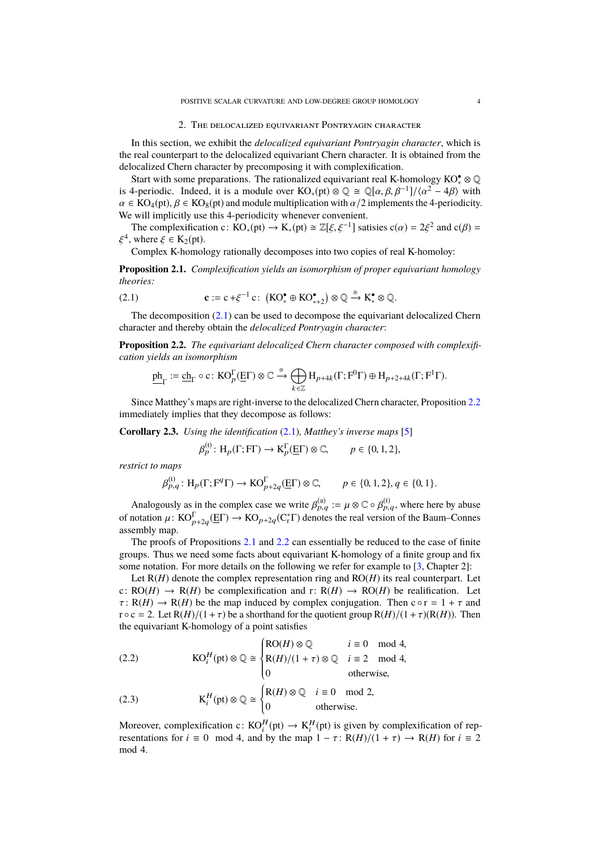### 2. THE DELOCALIZED EQUIVARIANT PONTRYAGIN CHARACTER

In this section, we exhibit the *delocalized equivariant Pontryagin character*, which is the real counterpart to the delocalized equivariant Chern character. It is obtained from the delocalized Chern character by precomposing it with complexification.

Start with some preparations. The rationalized equivariant real K-homology KO<sup>•</sup>• ⊗ Q is 4-periodic. Indeed, it is a module over  $KO_*(pt) \otimes \mathbb{Q} \cong \mathbb{Q}[\alpha, \beta, \beta^{-1}]/\langle \alpha^2 - 4\beta \rangle$  with  $\alpha \in KO_*(pt)$   $\beta \in KO_*(pt)$  and module multiplication with  $\alpha/2$  implements the 4-periodicity  $\alpha \in KO_4(pt)$ ,  $\beta \in KO_8(pt)$  and module multiplication with  $\alpha/2$  implements the 4-periodicity. We will implicitly use this 4-periodicity whenever convenient.

The complexification c:  $\overline{KO}_*(pt) \to K_*(pt) \cong \mathbb{Z}[\xi, \xi^{-1}]$  satisies  $c(\alpha) = 2\xi^2$  and  $c(\beta) =$ <br>where  $\xi \in K_2(pt)$ ξ <sup>4</sup>, where  $\xi \in K_2(pt)$ .<br>Complex K-bomol

Complex K-homology rationally decomposes into two copies of real K-homoloy:

<span id="page-3-2"></span>**Proposition 2.1.** *Complexification yields an isomorphism of proper equivariant homology theories:*

<span id="page-3-0"></span>(2.1) 
$$
\mathbf{c} := \mathbf{c} + \xi^{-1} \mathbf{c} : (\mathbf{KO}_{*}^{\bullet} \oplus \mathbf{KO}_{*+2}^{\bullet}) \otimes \mathbb{Q} \xrightarrow{\cong} \mathbf{K}_{*}^{\bullet} \otimes \mathbb{Q}.
$$

The decomposition  $(2.1)$  can be used to decompose the equivariant delocalized Chern character and thereby obtain the *delocalized Pontryagin character*:

<span id="page-3-1"></span>**Proposition 2.2.** *The equivariant delocalized Chern character composed with complexification yields an isomorphism*

$$
\underline{\mathbf{ph}}_{\Gamma}:=\underline{\mathbf{ch}}_{\Gamma}\circ\mathbf{c}\colon\mathrm{KO}_{p}^{\Gamma}(\underline{\mathrm{E}}\Gamma)\otimes\mathbb{C}\xrightarrow{\cong}\bigoplus_{k\in\mathbb{Z}}\mathrm{H}_{p+4k}(\Gamma; \mathrm{F}^0\Gamma)\oplus\mathrm{H}_{p+2+4k}(\Gamma;\mathrm{F}^1\Gamma).
$$

Since Matthey's maps are right-inverse to the delocalized Chern character, Proposition [2.2](#page-3-1) immediately implies that they decompose as follows:

<span id="page-3-5"></span>**Corollary 2.3.** *Using the identification* [\(2.1\)](#page-3-0)*, Matthey's inverse maps* [\[5\]](#page-9-11)

$$
\beta_p^{(t)}: H_p(\Gamma; F\Gamma) \to K_p^{\Gamma}(\underline{E}\Gamma) \otimes \mathbb{C}, \qquad p \in \{0, 1, 2\},\
$$

*restrict to maps*

$$
\beta_{p,q}^{(t)}: H_p(\Gamma; \mathbf{F}^q \Gamma) \to \mathrm{KO}_{p+2q}^{\Gamma}(\underline{\mathrm{E}} \Gamma) \otimes \mathbb{C}, \qquad p \in \{0, 1, 2\}, q \in \{0, 1\}.
$$

Analogously as in the complex case we write  $\beta_{p,q}^{(a)} := \mu \otimes \mathbb{C} \circ \beta_{p,q}^{(t)}$ , where here by abuse<br>patetion  $\mu_{\mathbf{C}}(\mathbf{C}^{\mathbf{F}}) \rightarrow \mathbf{KQ}$  ( $\mathbf{C}^{\ast}(\mathbf{C}^{\mathbf{F}})$  denotes the real variance of the Beum Connectio of notation  $\mu$ :  $KO_{p+2q}^{\Gamma}(\underline{E}\Gamma) \to KO_{p+2q}(C_r^*\Gamma)$  denotes the real version of the Baum–Connes assembly map.

The proofs of Propositions [2.1](#page-3-2) and [2.2](#page-3-1) can essentially be reduced to the case of finite groups. Thus we need some facts about equivariant K-homology of a finite group and fix some notation. For more details on the following we refer for example to [\[3,](#page-9-12) Chapter 2]:

Let  $R(H)$  denote the complex representation ring and  $RO(H)$  its real counterpart. Let c:  $RO(H) \rightarrow R(H)$  be complexification and r:  $R(H) \rightarrow RO(H)$  be realification. Let  $\tau: R(H) \to R(H)$  be the map induced by complex conjugation. Then  $c \circ r = 1 + \tau$  and  $r \circ c = 2$ . Let  $R(H)/(1 + \tau)$  be a shorthand for the quotient group  $R(H)/(1 + \tau)(R(H))$ . Then the equivariant K-homology of a point satisfies

<span id="page-3-3"></span>(2.2) 
$$
KO_i^H(pt) \otimes \mathbb{Q} \cong \begin{cases} RO(H) \otimes \mathbb{Q} & i \equiv 0 \mod 4, \\ R(H)/(1 + \tau) \otimes \mathbb{Q} & i \equiv 2 \mod 4, \\ 0 & \text{otherwise,} \end{cases}
$$

<span id="page-3-4"></span>(2.3) 
$$
K_i^H(pt) \otimes \mathbb{Q} \cong \begin{cases} R(H) \otimes \mathbb{Q} & i \equiv 0 \mod 2, \\ 0 & \text{otherwise.} \end{cases}
$$

Moreover, complexification c:  $KO_i^H(pt) \to K_i^H(pt)$  is given by complexification of representations for  $i \equiv 0 \mod 4$ , and by the map  $1 - \tau$ :  $R(H)/(1 + \tau) \rightarrow R(H)$  for  $i \equiv 2$ mod 4.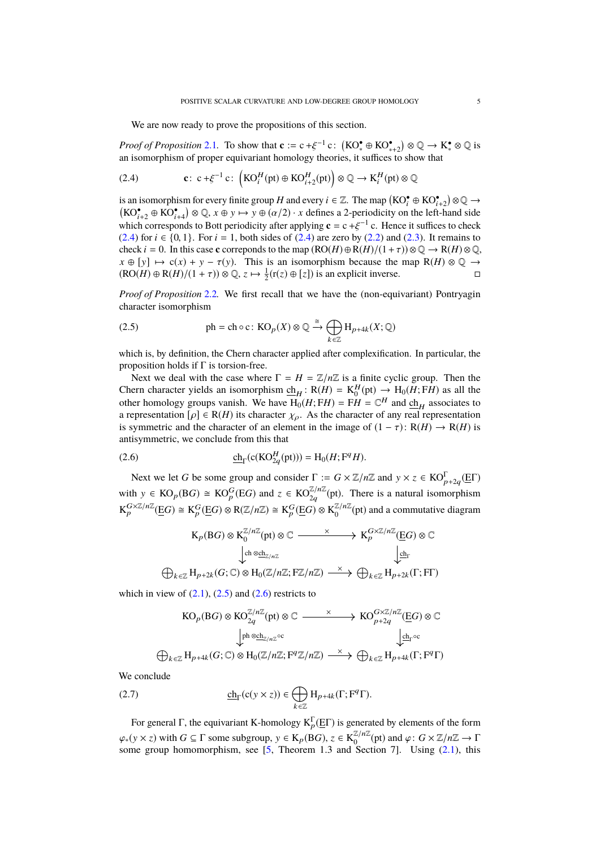We are now ready to prove the propositions of this section.

*Proof of Proposition* [2.1](#page-3-2). To show that  $\mathbf{c} := c + \xi^{-1} c$ :  $(KO^* \oplus KO^*_{*+2}) \otimes \mathbb{Q} \to K^* \otimes \mathbb{Q}$  is<br>an isomorphism of proper equivariant homology theories it suffices to show that an isomorphism of proper equivariant homology theories, it suffices to show that

<span id="page-4-0"></span>(2.4) 
$$
\mathbf{c}: \ \mathbf{c} + \xi^{-1} \mathbf{c}: \ \left(KO_i^H(\text{pt}) \oplus KO_{i+2}^H(\text{pt})\right) \otimes \mathbb{Q} \to \mathbf{K}_i^H(\text{pt}) \otimes \mathbb{Q}
$$

is an isomorphism for every finite group *H* and every  $i \in \mathbb{Z}$ . The map  $(KO_i^{\bullet} \oplus KO_{i+2}^{\bullet}) \otimes \mathbb{Q} \to$  $(KO_{t+2}^{\bullet} \oplus KO_{t+4}^{\bullet}) \otimes \mathbb{Q}, x \oplus y \mapsto y \oplus (\alpha/2) \cdot x$  defines a 2-periodicity on the left-hand side<br>which corresponds to Bott periodicity ofter applying  $e = e + \xi^{-1}e$ . Hence it suffices to check which corresponds to Bott periodicity after applying  $\mathbf{c} = c + \xi^{-1} c$ . Hence it suffices to check (2.4) for  $i \in \{0, 1\}$ . For  $i = 1$ , both sides of (2.4) are zero by (2.2) and (2.3). It remains to [\(2.4\)](#page-4-0) for *i* ∈ {0, 1}. For *i* = 1, both sides of (2.4) are zero by [\(2.2\)](#page-3-3) and [\(2.3\)](#page-3-4). It remains to check *i* = 0. In this case **c** correponds to the map  $(RO(H) \oplus R(H)/(1 + \tau)) \otimes Q \rightarrow R(H) \otimes Q$ ,  $x \oplus [y] \mapsto c(x) + y - \tau(y)$ . This is an isomorphism because the map  $R(H) \otimes Q \rightarrow (RO(H) \oplus R(H)/(1 + \tau)) \otimes Q \neq \frac{1}{2}(\tau(z) \oplus [z])$  is an explicit inverse  $(RO(H) \oplus R(H)/(1 + \tau)) \otimes \mathbb{Q}, z \mapsto \frac{1}{2}(r(z) \oplus [z])$  is an explicit inverse.

*Proof of Proposition* [2.2](#page-3-1)*.* We first recall that we have the (non-equivariant) Pontryagin character isomorphism

<span id="page-4-1"></span>(2.5) 
$$
\text{ph} = \text{ch} \circ \text{c}: \text{KO}_p(X) \otimes \mathbb{Q} \xrightarrow{\cong} \bigoplus_{k \in \mathbb{Z}} \text{H}_{p+4k}(X; \mathbb{Q})
$$

which is, by definition, the Chern character applied after complexification. In particular, the proposition holds if  $\Gamma$  is torsion-free.

Next we deal with the case where  $\Gamma = H = \mathbb{Z}/n\mathbb{Z}$  is a finite cyclic group. Then the Chern character yields an isomorphism  $\underline{ch}_H$ : R(*H*) =  $K_0^H(pt) \rightarrow H_0(H; FH)$  as all the other homology groups vanish. We have  $H_0(H; FH) = FH = \mathbb{C}^H$  and  $\underline{ch}_H$  associates to a representation  $[\rho] \in R(H)$  its character  $\chi_{\rho}$ . As the character of any real representation is symmetric and the character of an element in the image of  $(1 - \tau)$ :  $R(H) \rightarrow R(H)$  is antisymmetric, we conclude from this that

(2.6) 
$$
\underline{\text{ch}}_{\Gamma}(\text{c}(\text{KO}_{2q}^{H}(\text{pt}))) = \text{H}_{0}(H; \mathbf{F}^{q} H).
$$

Next we let *G* be some group and consider  $\Gamma := G \times \mathbb{Z}/n\mathbb{Z}$  and  $y \times z \in KO_{p+2q}^{\Gamma}(\mathbb{E}\Gamma)$ with  $y \in \text{KO}_p(\text{B}G) \cong \text{KO}_p^G(\text{E}G)$  and  $z \in \text{KO}_{2q}^{\mathbb{Z}/n\mathbb{Z}}(\text{pt})$ . There is a natural isomorphism  $\mathrm{K}_p^{G \times \mathbb{Z}/n\mathbb{Z}}(\underline{\mathrm{E}}G) \cong \mathrm{K}_p^G(\underline{\mathrm{E}}G) \otimes \mathrm{R}(\mathbb{Z}/n\mathbb{Z}) \cong \mathrm{K}_p^G(\underline{\mathrm{E}}G) \otimes \mathrm{K}_0^{\mathbb{Z}/n\mathbb{Z}}$  $\frac{\mathbb{Z}/n\mathbb{Z}}{0}$  (pt) and a commutative diagram

<span id="page-4-2"></span>
$$
K_p(BG) \otimes K_0^{\mathbb{Z}/n\mathbb{Z}}(pt) \otimes \mathbb{C} \xrightarrow{\times} K_p^{G \times \mathbb{Z}/n\mathbb{Z}}(\underline{E}G) \otimes \mathbb{C}
$$
  
\n
$$
\downarrow_{ch \otimes ch_{\mathbb{Z}/n\mathbb{Z}}}
$$
\n
$$
\bigoplus_{k \in \mathbb{Z}} H_{p+2k}(G; \mathbb{C}) \otimes H_0(\mathbb{Z}/n\mathbb{Z}; F\mathbb{Z}/n\mathbb{Z}) \xrightarrow{\times} \bigoplus_{k \in \mathbb{Z}} H_{p+2k}(\Gamma; F\Gamma)
$$

which in view of  $(2.1)$ ,  $(2.5)$  and  $(2.6)$  restricts to

<span id="page-4-3"></span>
$$
KO_p(BG) \otimes KO_{2q}^{\mathbb{Z}/n\mathbb{Z}}(pt) \otimes \mathbb{C} \xrightarrow{\times} KO_{p+2q}^{G \times \mathbb{Z}/n\mathbb{Z}}(\underline{E}G) \otimes \mathbb{C}
$$
  

$$
\downarrow^{ph} \otimes \underline{ch}_{\mathbb{Z}/n\mathbb{Z}} \circ \qquad \qquad \downarrow^{ch_r \circ c}
$$
  

$$
\oplus_{k \in \mathbb{Z}} H_{p+4k}(G; \mathbb{C}) \otimes H_0(\mathbb{Z}/n\mathbb{Z}; F^q\mathbb{Z}/n\mathbb{Z}) \xrightarrow{\times} \oplus_{k \in \mathbb{Z}} H_{p+4k}(\Gamma; F^q\Gamma)
$$

We conclude

(2.7) 
$$
\underline{\text{ch}}_{\Gamma}(\text{c}(\text{y} \times \text{z})) \in \bigoplus_{k \in \mathbb{Z}} H_{p+4k}(\Gamma; \mathbf{F}^q \Gamma).
$$

For general  $\Gamma$ , the equivariant K-homology  $K_p^{\Gamma}(\underline{E}\Gamma)$  is generated by elements of the form  $\varphi_*(y \times z)$  with  $G \subseteq \Gamma$  some subgroup,  $y \in K_p(BG)$ ,  $z \in K_0^{\mathbb{Z}/n\mathbb{Z}}$ <br>some group homomorphism, see [5] Theorem 1.3 and Sec  $\frac{\mathbb{Z}/n\mathbb{Z}}{0}$ (pt) and *φ* : *G* × ℤ/*n*ℤ → Γ<br>Section 71 – Using (2.1) this some group homomorphism, see  $[5,$  Theorem 1.3 and Section 7. Using  $(2.1)$ , this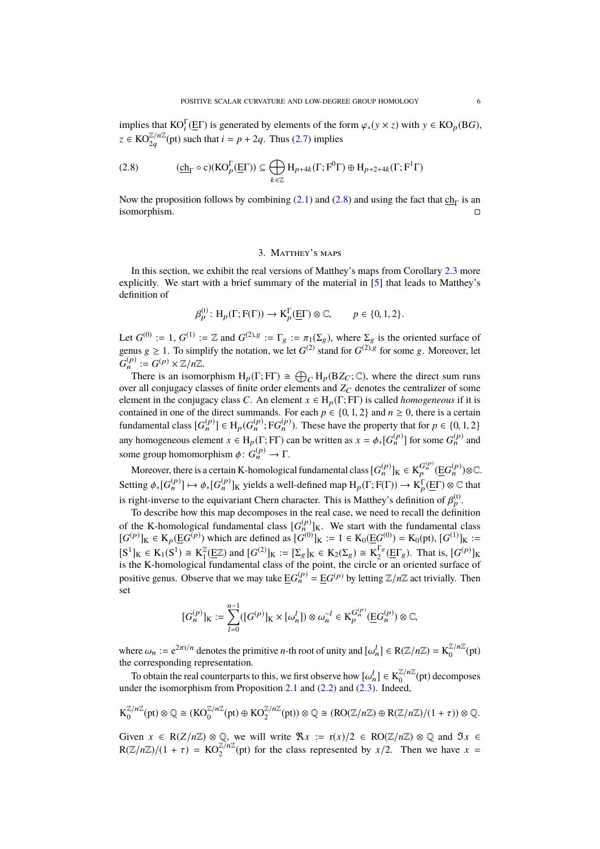implies that  $KO<sup>\Gamma</sup>(EF)$  is generated by elements of the form  $\varphi_*(y \times z)$  with  $y \in KO<sub>p</sub>(BG)$ ,  $z \in KO_{2q}^{\mathbb{Z}/n\mathbb{Z}}(\text{pt})$  such that  $i = p + 2q$ . Thus [\(2.7\)](#page-4-3) implies

<span id="page-5-0"></span>
$$
(2.8) \qquad \qquad (\underline{\text{ch}}_{\Gamma}\circ \text{c})(\text{KO}_{p}^{\Gamma}(\underline{\text{E}}\Gamma))\subseteq \bigoplus_{k\in \mathbb{Z}}\text{H}_{p+4k}(\Gamma; \text{F}^0\Gamma)\oplus \text{H}_{p+2+4k}(\Gamma;\text{F}^1\Gamma)
$$

Now the proposition follows by combining [\(2.1\)](#page-3-0) and [\(2.8\)](#page-5-0) and using the fact that  $\underline{ch}_{\Gamma}$  is an isomorphism.

## 3. Matthey's maps

In this section, we exhibit the real versions of Matthey's maps from Corollary [2.3](#page-3-5) more explicitly. We start with a brief summary of the material in [\[5\]](#page-9-11) that leads to Matthey's definition of

$$
\beta_P^{(t)}\colon H_p(\Gamma; F(\Gamma)) \to K_p^{\Gamma}(\underline{E}\Gamma) \otimes \mathbb{C}, \qquad p \in \{0, 1, 2\}.
$$

Let  $G^{(0)} := 1$ ,  $G^{(1)} := \mathbb{Z}$  and  $G^{(2),g} := \Gamma_g := \pi_1(\Sigma_g)$ , where  $\Sigma_g$  is the oriented surface of genus  $g \ge 1$ . To simplify the notation, we let  $G^{(2)}$  stand for  $G^{(2),g}$  for some g. Moreover, let  $G_n^{(p)} := G^{(p)} \times \mathbb{Z}/n\mathbb{Z}.$ 

There is an isomorphism  $H_p(\Gamma; F\Gamma) \cong \bigoplus_C H_p(BZ_C; \mathbb{C})$ , where the direct sum runs over all conjugacy classes of finite order elements and  $Z_C$  denotes the centralizer of some element in the conjugacy class *C*. An element  $x \in H_p(\Gamma; F\Gamma)$  is called *homogeneous* if it is contained in one of the direct summands. For each  $p \in \{0, 1, 2\}$  and  $n \ge 0$ , there is a certain fundamental class  $[G_n^{(p)}] \in H_p(G_n^{(p)}; FG_n^{(p)})$ . These have the property that for  $p \in \{0, 1, 2\}$ any homogeneous element  $x \in H_p(\Gamma; F\Gamma)$  can be written as  $x = \phi_*[G_n^{(p)}]$  for some  $G_n^{(p)}$  and some group homomorphism  $\phi: G_n^{(p)} \to \Gamma$ .

Moreover, there is a certain K-homological fundamental class  $[G_n^{(p)}]_K \in K_p^{G_n^{(p)}}(\underline{E}G_n^{(p)})\otimes \mathbb{C}.$ Setting  $\phi_*[G_n^{(p)}] \mapsto \phi_*[G_n^{(p)}]_K$  yields a well-defined map  $H_p(\Gamma; F(\Gamma)) \to K_p^{\Gamma}(\underline{E}\Gamma) \otimes \mathbb{C}$  that is right-inverse to the equivariant Chern character. This is Matthey's definition of  $\beta_p^{(t)}$ .<br>To describe how this man decomposes in the real case, we need to recall the definition

To describe how this map decomposes in the real case, we need to recall the definition of the K-homological fundamental class  $[G_n^{(p)}]_K$ . We start with the fundamental class  $[G^{(p)}]_K$  ∈ K<sub>p</sub>(E $G^{(p)}$ ) which are defined as  $[G^{(0)}]_K := 1 \in K_0(EG^{(0)}) = K_0(pt)$ ,  $[G^{(1)}]_K :=$  $[S^1]_K \in K_1(S^1) \cong K_1^{\mathbb{Z}}$  $\mathbb{Z}_1^{\mathbb{Z}}(\underline{E}\mathbb{Z})$  and  $[G^{(2)}]_K := [\Sigma_g]_K \in K_2(\Sigma_g) \cong K_2^{\Gamma_g}$  $\frac{1}{2}$ <sup>s</sup>(E $\Gamma$ <sub>g</sub>). That is,  $[G^{(p)}]_{K}$ is the K-homological fundamental class of the point, the circle or an oriented surface of positive genus. Observe that we may take  $\underline{E}G_n^{(p)} = \underline{E}G^{(p)}$  by letting  $\mathbb{Z}/n\mathbb{Z}$  act trivially. Then set

$$
[G_n^{(p)}]_K := \sum_{l=0}^{n-1} ([G^{(p)}]_K \times [\omega_n^l]) \otimes \omega_n^{-l} \in K_p^{G_n^{(p)}}(\underline{E}G_n^{(p)}) \otimes \mathbb{C},
$$

where  $\omega_n := e^{2\pi i/n}$  denotes the primitive *n*-th root of unity and  $[\omega_n^l] \in R(\mathbb{Z}/n\mathbb{Z}) = K_0^{\mathbb{Z}/n\mathbb{Z}}$ <br>the corresponding representation  $\int_0^{\mathbb{Z}/n\mathbb{Z}} (pt)$ the corresponding representation.

To obtain the real counterparts to this, we first observe how  $[\omega_n^l] \in K_0^{\mathbb{Z}/n\mathbb{Z}}$ <br>der the isomorphism from Proposition 2.1 and (2.2) and (2.3). Indeed  $\frac{\ell}{0}$ <sup> $\ell$ </sup> (pt) decomposes under the isomorphism from Proposition [2.1](#page-3-2) and  $(2.2)$  and  $(2.3)$ . Indeed,

$$
K_0^{\mathbb{Z}/n\mathbb{Z}}(\text{pt})\otimes \mathbb{Q}\cong (KO_0^{\mathbb{Z}/n\mathbb{Z}}(\text{pt})\oplus KO_2^{\mathbb{Z}/n\mathbb{Z}}(\text{pt}))\otimes \mathbb{Q}\cong (RO(\mathbb{Z}/n\mathbb{Z})\oplus R(\mathbb{Z}/n\mathbb{Z})/(1+\tau))\otimes \mathbb{Q}.
$$

Given  $x \in R(Z/n\mathbb{Z}) \otimes \mathbb{Q}$ , we will write  $\Re x := r(x)/2 \in RO(\mathbb{Z}/n\mathbb{Z}) \otimes \mathbb{Q}$  and  $\Im x \in \mathbb{Q}$  $R(\mathbb{Z}/n\mathbb{Z})/(1 + \tau) = KO_2^{\mathbb{Z}/n\mathbb{Z}}$  (pt) for the class represented by *x*/2. Then we have *x* =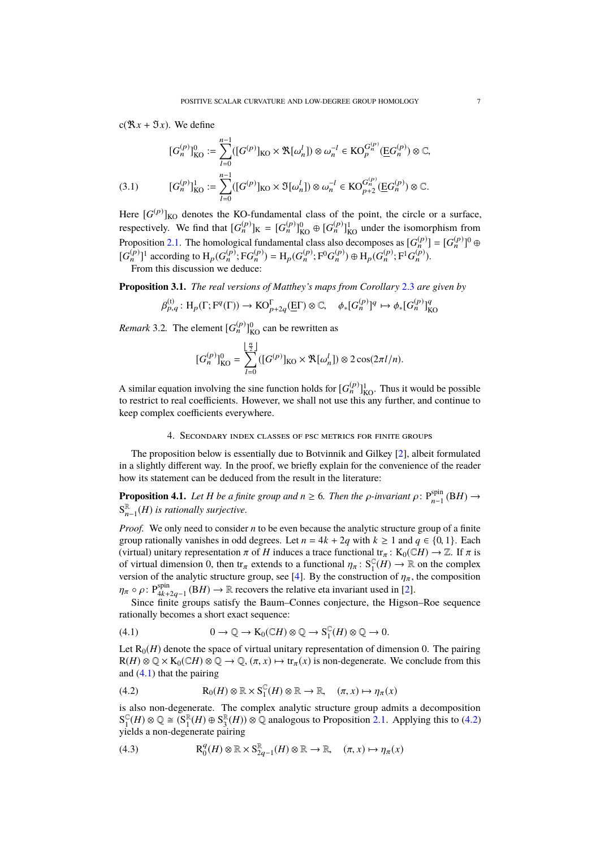$c(\mathfrak{R} x + \mathfrak{I} x)$ . We define

$$
[G_n^{(p)}]_{KO}^0 := \sum_{l=0}^{n-1} ([G^{(p)}]_{KO} \times \mathfrak{R}[\omega_n^l]) \otimes \omega_n^{-l} \in KO_p^{G_n^{(p)}}(\underline{E}G_n^{(p)}) \otimes \mathbb{C},
$$
  
(3.1) 
$$
[G_n^{(p)}]_{KO}^1 := \sum_{l=0}^{n-1} ([G^{(p)}]_{KO} \times \mathfrak{I}[\omega_n^l]) \otimes \omega_n^{-l} \in KO_{p+2}^{G_n^{(p)}}(\underline{E}G_n^{(p)}) \otimes \mathbb{C}.
$$

<span id="page-6-6"></span>Here  $[G^{(p)}]_{\text{KO}}$  denotes the KO-fundamental class of the point, the circle or a surface, respectively. We find that  $[G_n^{(p)}]_K = [G_n^{(p)}]_{KO}^0 \oplus [G_n^{(p)}]_{KO}^1$  under the isomorphism from Proposition [2.1.](#page-3-2) The homological fundamental class also decomposes as  $[G_n^{(p)}] = [G_n^{(p)}]$ <sup>0</sup> ⊕  $[G_n^{(p)}]$ <sup>1</sup> according to  $H_p(G_n^{(p)}; FG_n^{(p)}) = H_p(G_n^{(p)}; F^0G_n^{(p)}) \oplus H_p(G_n^{(p)}; F^1G_n^{(p)})$ . From this discussion we deduce:

<span id="page-6-5"></span>**Proposition 3.1.** *The real versions of Matthey's maps from Corollary* [2.3](#page-3-5) *are given by*

$$
\beta_{p,q}^{(t)}: H_p(\Gamma; \mathcal{F}^q(\Gamma)) \to \mathrm{KO}_{p+2q}^{\Gamma}(\underline{E}\Gamma) \otimes \mathbb{C}, \quad \phi_*[G_n^{(p)}]^q \mapsto \phi_*[G_n^{(p)}]_{\mathrm{KO}}^q
$$

*Remark* 3.2. The element  $[G_n^{(p)}]_{\text{KO}}^0$  can be rewritten as

$$
[G_n^{(p)}]_{\text{KO}}^0 = \sum_{l=0}^{\lfloor \frac{n}{2} \rfloor} ([G^{(p)}]_{\text{KO}} \times \mathfrak{R}[\omega_n^l]) \otimes 2 \cos(2\pi l/n).
$$

A similar equation involving the sine function holds for  $[G_n^{(p)}]_{\text{KO}}^1$ . Thus it would be possible to restrict to real coefficients. However, we shall not use this any further, and continue to keep complex coefficients everywhere.

### 4. Secondary index classes of psc metrics for finite groups

<span id="page-6-0"></span>The proposition below is essentially due to Botvinnik and Gilkey [\[2\]](#page-9-5), albeit formulated in a slightly different way. In the proof, we briefly explain for the convenience of the reader how its statement can be deduced from the result in the literature:

<span id="page-6-4"></span>**Proposition 4.1.** *Let H be a finite group and*  $n \ge 6$ *. Then the*  $\rho$ *-invariant*  $\rho$ :  $P_{n-1}^{\text{spin}}$  $_{n-1}^{spin}$  (B*H*) →  $S_n^{\mathbb{R}}$ n−1 (*H*) *is rationally surjective.*

*Proof.* We only need to consider *n* to be even because the analytic structure group of a finite group rationally vanishes in odd degrees. Let  $n = 4k + 2q$  with  $k \ge 1$  and  $q \in \{0, 1\}$ . Each (virtual) unitary representation  $\pi$  of *H* induces a trace functional tr<sub> $\pi$ </sub>: K<sub>0</sub>(C*H*)  $\to \mathbb{Z}$ . If  $\pi$  is of virtual dimension 0, then  $tr_{\pi}$  extends to a functional  $\eta_{\pi}$ :  $S_{\tau}^{\mathbb{C}}$ <br>version of the analytic structure group, see [4]. By the construct  $_{1}^{\mathbb{C}}(H) \rightarrow \mathbb{R}$  on the complex version of the analytic structure group, see [\[4\]](#page-9-6). By the construction of  $\eta_{\pi}$ , the composition  $\eta_{\pi} \circ \rho$ : P<sup>spin</sup><br>Since finite groups setiaty the Bourn Connec conjecture, the Higgsen

Since finite groups satisfy the Baum–Connes conjecture, the Higson–Roe sequence rationally becomes a short exact sequence:

<span id="page-6-1"></span>(4.1) 
$$
0 \to \mathbb{Q} \to \mathcal{K}_0(\mathbb{C}H) \otimes \mathbb{Q} \to \mathcal{S}_1^{\mathbb{C}}(H) \otimes \mathbb{Q} \to 0.
$$

Let  $R_0(H)$  denote the space of virtual unitary representation of dimension 0. The pairing  $R(H) \otimes \mathbb{Q} \times K_0(\mathbb{C}H) \otimes \mathbb{Q} \to \mathbb{Q}, (\pi, x) \mapsto \text{tr}_{\pi}(x)$  is non-degenerate. We conclude from this and [\(4.1\)](#page-6-1) that the pairing

<span id="page-6-2"></span>(4.2) 
$$
R_0(H) \otimes \mathbb{R} \times S_1^{\mathbb{C}}(H) \otimes \mathbb{R} \to \mathbb{R}, \quad (\pi, x) \mapsto \eta_{\pi}(x)
$$

is also non-degenerate. The complex analytic structure group admits a decomposition  $S_1^{\mathbb{C}}$  $_{1}^{\mathbb{C}}(H)\otimes\mathbb{Q}\cong\mathcal{S}_{1}^{\mathbb{R}}$  $_{1}^{\mathbb{R}}(H) \oplus S_{3}^{\mathbb{R}}$  $\mathbb{R}_{3}^{R}(H)$ ) ⊗ ℚ analogous to Proposition [2.1.](#page-3-2) Applying this to [\(4.2\)](#page-6-2) yields a non-degenerate pairing

<span id="page-6-3"></span>(4.3) 
$$
\mathbf{R}_0^q(H) \otimes \mathbb{R} \times \mathbf{S}_{2q-1}^{\mathbb{R}}(H) \otimes \mathbb{R} \to \mathbb{R}, \quad (\pi, x) \mapsto \eta_{\pi}(x)
$$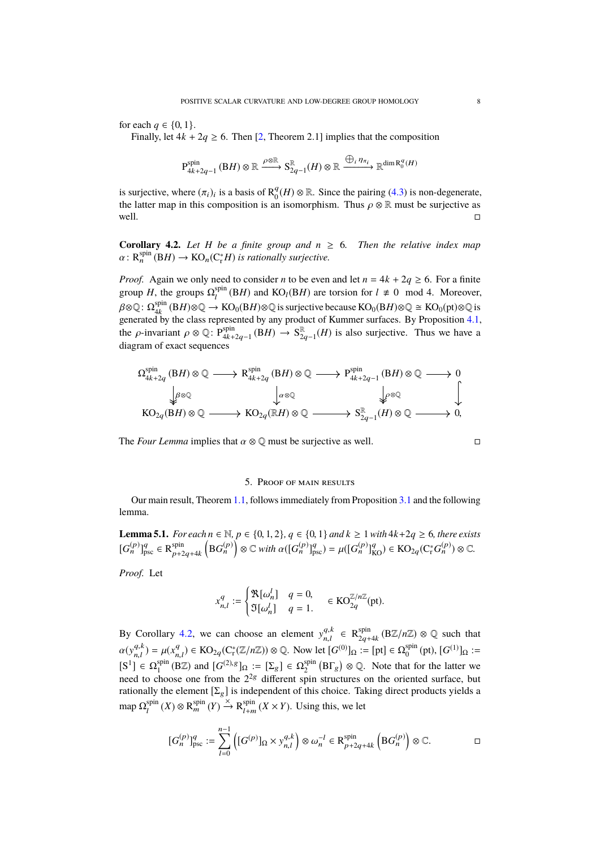for each  $q \in \{0, 1\}$ .

Finally, let  $4k + 2q \ge 6$ . Then [\[2,](#page-9-5) Theorem 2.1] implies that the composition

$$
P_{4k+2q-1}^{\text{spin}}\left(BH\right)\otimes\mathbb{R}\xrightarrow{\rho\otimes\mathbb{R}}S_{2q-1}^{\mathbb{R}}(H)\otimes\mathbb{R}\xrightarrow{\bigoplus_{i}\eta_{\pi_{i}}}\mathbb{R}^{\dim\mathcal{R}_{0}^{q}(H)}
$$

is surjective, where  $(\pi_i)_i$  is a basis of  $\mathbb{R}^q_0$ <br>the latter man in this composition is an  ${}_{0}^{q}(H)$  ⊗ ℝ. Since the pairing [\(4.3\)](#page-6-3) is non-degenerate, the latter map in this composition is an isomorphism. Thus  $\rho \otimes \mathbb{R}$  must be surjective as well. well.  $\Box$ 

<span id="page-7-0"></span>**Corollary 4.2.** Let *H* be a finite group and  $n \ge 6$ . Then the relative index map  $\alpha: \mathsf{R}^{\text{spin}}_n(\mathrm{B} H) \to \mathrm{KO}_n(\mathrm{C}^*_r H)$  *is rationally surjective.* 

*Proof.* Again we only need to consider *n* to be even and let  $n = 4k + 2q \ge 6$ . For a finite group *H*, the groups  $\Omega_l^{\text{spin}}$  $\sum_{l}^{spin}$  (B*H*) and KO<sub>l</sub>(B*H*) are torsion for  $l \neq 0$  mod 4. Moreover,  $\beta$ ⊗ℚ: Ω $_{4k}^{\text{spin}}$ <br>generated by  $_{4k}^{\text{spin}}\left(\mathrm{B}H\right)\otimes\mathbb{Q}\to\mathrm{KO}_0(\mathrm{B}H)\otimes\mathbb{Q}$  is surjective because  $\mathrm{KO}_0(\mathrm{B}H)\otimes\mathbb{Q}\cong\mathrm{KO}_0(\mathrm{pt})\otimes\mathbb{Q}$  is generated by the class represented by any product of Kummer surfaces. By Proposition [4.1,](#page-6-4) the  $\rho$ -invariant  $\rho \otimes \mathbb{Q}$ : P<sup>spin</sup><br>diagram of quast soquences  $\lim_{4k+2q-1}$  (B*H*) → S<sub>2</sub><sup>R</sup><sub>2</sub>  $\mathbb{R}_{2q-1}(H)$  is also surjective. Thus we have a diagram of exact sequences

Ω spin 4k+2q (B*H*) ⊗ Q R spin 4k+2q (B*H*) ⊗ Q P spin 4k+2q−1 (B*H*) ⊗ Q 0 KO2q(B*H*) ⊗ Q KO2q(R*H*) ⊗ Q S R 2q−1 (*H*) ⊗ <sup>Q</sup> <sup>0</sup>, <sup>β</sup>⊗<sup>Q</sup> α⊗<sup>Q</sup> <sup>ρ</sup>⊗<sup>Q</sup>

The *Four Lemma* implies that  $\alpha \otimes \mathbb{Q}$  must be surjective as well.

### 5. Proof of main results

Our main result, Theorem [1.1,](#page-1-0) follows immediately from Proposition [3.1](#page-6-5) and the following lemma.

<span id="page-7-1"></span>**Lemma 5.1.** *For each*  $n \in \mathbb{N}$ *,*  $p \in \{0, 1, 2\}$ *,*  $q \in \{0, 1\}$  *and*  $k ≥ 1$  *with*  $4k+2q ≥ 6$ *, there exists*  $[G_n^{(p)}]_{\text{psc}}^q \in \mathsf{R}_{n+2}^{\text{spin}}$  $\sup_{p+2q+4k} (BG_n^{(p)}) \otimes \mathbb{C}$  *with*  $\alpha([G_n^{(p)}]_{\text{psc}}^q) = \mu([G_n^{(p)}]_{\text{KO}}^q) \in \text{KO}_{2q}(\mathcal{C}_r^*G_n^{(p)}) \otimes \mathbb{C}.$ 

*Proof.* Let

$$
x_{n,l}^q := \begin{cases} \Re[\omega_n^l] & q = 0, \\ \Im[\omega_n^l] & q = 1. \end{cases} \in \mathrm{KO}_{2q}^{\mathbb{Z}/n\mathbb{Z}}(\mathrm{pt}).
$$

By Corollary [4.2,](#page-7-0) we can choose an element  $y_{n,l}^{q,k}$  $a, k \in \mathbb{R}_{2q+1}^{\text{spin}}$  $\sum_{2q+4k}^{\text{spin}} (B\mathbb{Z}/n\mathbb{Z}) \otimes \mathbb{Q}$  such that  $\alpha(y_{n,l}^{q,k})$  $\mu_{n,l}^{q,k}$ ) =  $\mu(x_n^q)$  $\mathcal{L}_{n,l}^{(q)} \in \mathrm{KO}_{2q}(\mathrm{C}_r^*(\mathbb{Z}/n\mathbb{Z})) \otimes \mathbb{Q}$ . Now let  $[G^{(0)}]_{\Omega} := [\mathrm{pt}] \in \Omega_0^{\mathrm{spin}}$  $S_0^{\text{spin}}$  (pt),  $[G^{(1)}]_{\Omega}$  :=  $[S^1] \in \Omega_1^{\text{spin}}$ <sup>spin</sup> (BZ) and  $[G^{(2),g}]_{\Omega} := [\Sigma_g] \in \Omega_2^{\text{spin}}$  $\sum_{2}^{\text{spin}}$  (B $\Gamma_g$ )  $\otimes$  Q. Note that for the latter we need to choose one from the  $2^{2g}$  different spin structures on the oriented surface, but rationally the element  $[\Sigma_g]$  is independent of this choice. Taking direct products yields a map  $\Omega^{\rm spin}_{\scriptscriptstyle I}$  $\lim_{l} (X) \otimes \mathbf{R}_{m}^{\text{spin}}(Y) \stackrel{\times}{\longrightarrow} \mathbf{R}_{l+m}^{\text{spin}}$  $\lim_{l+m} (X \times Y)$ . Using this, we let

$$
[G_n^{(p)}]_{\text{psc}}^q := \sum_{l=0}^{n-1} \left( [G^{(p)}]_{\Omega} \times y_{n,l}^{q,k} \right) \otimes \omega_n^{-l} \in \mathcal{R}_{p+2q+4k}^{\text{spin}} \left( \mathcal{B} G_n^{(p)} \right) \otimes \mathbb{C}. \square
$$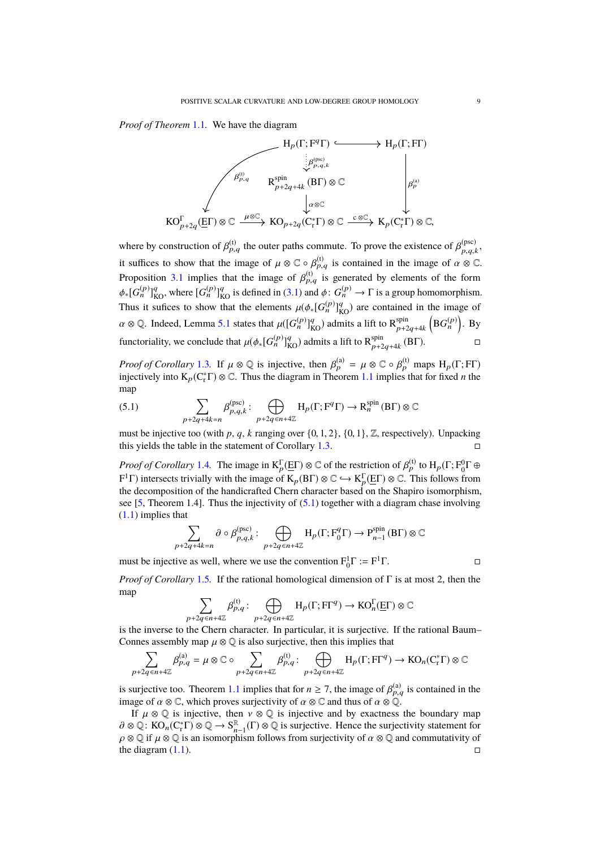*Proof of Theorem* [1.1](#page-1-0)*.* We have the diagram



where by construction of  $\beta_{p,q}^{(t)}$  the outer paths commute. To prove the existence of  $\beta_{p,q,k}^{(psc)}$  $p,q,k$ it suffices to show that the image of  $\mu \otimes \mathbb{C} \circ \beta_{p,q}^{(t)}$  is contained in the image of  $\alpha \otimes \mathbb{C}$ . Proposition [3.1](#page-6-5) implies that the image of  $\beta_{p,q}^{(t)}$  is generated by elements of the form  $\phi_*[G_n^{(p)}]_{\text{KO}}^q$ , where  $[G_n^{(p)}]_{\text{KO}}^q$  is defined in [\(3.1\)](#page-6-6) and  $\phi: G_n^{(p)} \to \Gamma$  is a group homomorphism. Thus it sufices to show that the elements  $\mu(\phi_*[\widetilde{G}_n^{(p)}]_{KO}^q)$  are contained in the image of  $\alpha \otimes \mathbb{Q}$ . Indeed, Lemma [5.1](#page-7-1) states that  $\mu([G_n^{(p)}]_{\text{KO}}^q)$  admits a lift to  $\mathsf{R}_{p+2}^{\text{spin}}$  $_{p+2q+4k}^{\text{spin}}\left(\mathrm{B} G_n^{(p)}\right)$ . By functoriality, we conclude that  $\mu(\phi_*[G_n^{(p)}]_{\rm KO}^q)$  admits a lift to  $\mathsf{R}_{p+2}^{\rm spin}$  $_{p+2q+4k}^{\text{spin}}$  (BT).

*Proof of Corollary* [1.3](#page-2-0). If  $\mu \otimes \mathbb{Q}$  is injective, then  $\beta_p^{(a)} = \mu \otimes \mathbb{C} \circ \beta_p^{(t)}$  maps  $H_p(\Gamma; F\Gamma)$  injectively into K (C<sup>\*</sup>F)  $\otimes \mathbb{C}$ . Thus the diagram in Theorem 1.1 implies that for fixed *n* the injectively into  $K_p(C_r^* \Gamma) \otimes \mathbb{C}$ . Thus the diagram in Theorem [1.1](#page-1-0) implies that for fixed *n* the map

<span id="page-8-0"></span>(5.1) 
$$
\sum_{p+2q+4k=n} \beta_{p,q,k}^{(\text{psc})} : \bigoplus_{p+2q \in n+4\mathbb{Z}} H_p(\Gamma; \mathbf{F}^q \Gamma) \to \mathbf{R}_n^{\text{spin}}(\mathbf{B} \Gamma) \otimes \mathbb{C}
$$

must be injective too (with *p*, *q*, *k* ranging over {0, 1, 2}, {0, 1},  $\mathbb{Z}$ , respectively). Unpacking this vields the table in the statement of Corollary 1.3. this yields the table in the statement of Corollary [1.3.](#page-2-0)

*Proof of Corollary* [1.4](#page-2-1). The image in  $K_p^{\Gamma}(\underline{E}\Gamma) \otimes \mathbb{C}$  of the restriction of  $\beta_p^{\text{(t)}}$  to  $H_p(\Gamma; F_0^0 \Gamma \oplus \Gamma)$ .  $F^1 \Gamma$ ) intersects trivially with the image of  $K_p(B \Gamma) \otimes \mathbb{C} \hookrightarrow K_p^{\Gamma}(\underline{E} \Gamma) \otimes \mathbb{C}$ . This follows from the decomposition of the handicrafted Chern character based on the Shapiro isomorphism the decomposition of the handicrafted Chern character based on the Shapiro isomorphism, see [\[5,](#page-9-11) Theorem 1.4]. Thus the injectivity of  $(5.1)$  together with a diagram chase involving [\(1.1\)](#page-0-0) implies that

$$
\sum_{p+2q+4k=n} \partial \circ \beta_{p,q,k}^{(\text{psc})} : \bigoplus_{p+2q \in n+4\mathbb{Z}} H_p(\Gamma; \mathcal{F}_0^q \Gamma) \to P_{n-1}^{\text{spin}}(\text{B}\Gamma) \otimes \mathbb{C}
$$

must be injective as well, where we use the convention  $F_0^1 \Gamma := F^1 \Gamma$ .

*Proof of Corollary* [1.5](#page-2-2)*.* If the rational homological dimension of Γ is at most 2, then the map

$$
\sum_{p+2q \in n+4\mathbb{Z}} \beta_{p,q}^{(t)} : \bigoplus_{p+2q \in n+4\mathbb{Z}} H_p(\Gamma; \mathrm{FT}^q) \to \mathrm{KO}_n^{\Gamma}(\underline{\mathrm{E}}\Gamma) \otimes \mathbb{C}
$$

is the inverse to the Chern character. In particular, it is surjective. If the rational Baum– Connes assembly map  $\mu \otimes \mathbb{Q}$  is also surjective, then this implies that

$$
\sum_{p+2q\in n+4\mathbb{Z}}\beta_{p,q}^{(a)}=\mu\otimes\mathbb{C}\circ\sum_{p+2q\in n+4\mathbb{Z}}\beta_{p,q}^{(t)}:\bigoplus_{p+2q\in n+4\mathbb{Z}}\mathrm{H}_p(\Gamma;\mathrm{FT}^q)\to\mathrm{KO}_n(\mathrm{C}_\mathrm{r}^*\Gamma)\otimes\mathbb{C}
$$

is surjective too. Theorem [1.1](#page-1-0) implies that for  $n \ge 7$ , the image of  $\beta_{p,q}^{(a)}$  is contained in the image of  $\alpha \otimes \mathbb{C}$  which proves surjectivity of  $\alpha \otimes \mathbb{C}$  and thus of  $\alpha \otimes \mathbb{C}$ image of  $\alpha \otimes \mathbb{C}$ , which proves surjectivity of  $\alpha \otimes \mathbb{C}$  and thus of  $\alpha \otimes \mathbb{Q}$ .

If  $\mu \otimes \mathbb{Q}$  is injective, then  $\nu \otimes \mathbb{Q}$  is injective and by exactness the boundary map  $\partial \otimes \mathbb{Q} : KO_n(\mathbb{C}_r^*\Gamma) \otimes \mathbb{Q} \to S_n^{\mathbb{R}}$ <br> $\partial \otimes \mathbb{Q}$  if  $\mu \otimes \mathbb{Q}$  is an isomorph  $\mathbb{R}_{n-1}(\Gamma) \otimes \mathbb{Q}$  is surjective. Hence the surjectivity statement for  $\rho \otimes \mathbb{Q}$  if  $\mu \otimes \mathbb{Q}$  is an isomorphism follows from surjectivity of  $\alpha \otimes \mathbb{Q}$  and commutativity of the diagram (1.1) the diagram  $(1.1)$ .